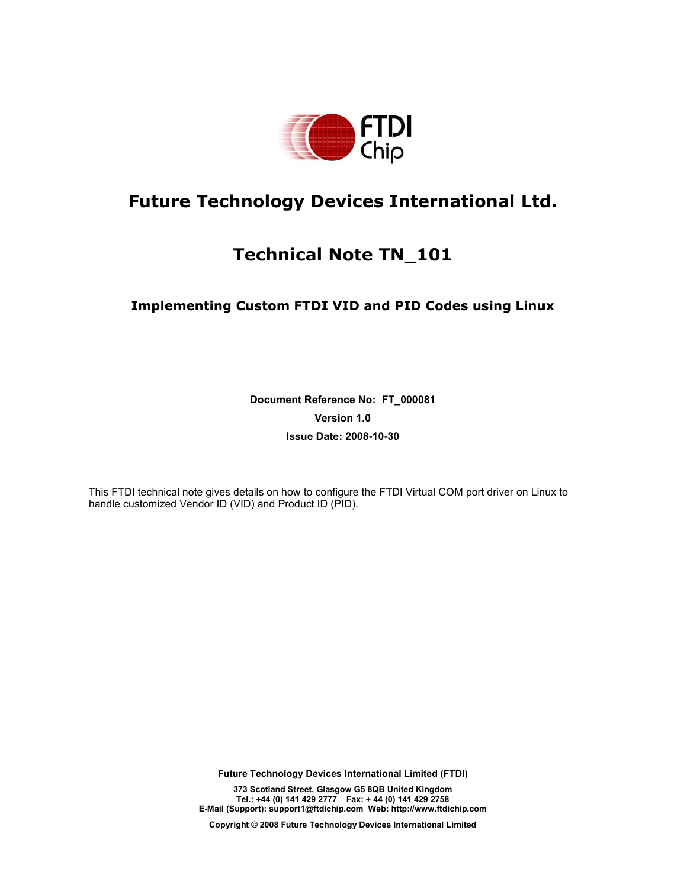

# **Future Technology Devices International Ltd.**

# **Technical Note TN\_101**

## **Implementing Custom FTDI VID and PID Codes using Linux**

**Document Reference No: FT\_000081 Version 1.0 Issue Date: 2008-10-30** 

This FTDI technical note gives details on how to configure the FTDI Virtual COM port driver on Linux to handle customized Vendor ID (VID) and Product ID (PID).

**Future Technology Devices International Limited (FTDI)** 

**373 Scotland Street, Glasgow G5 8QB United Kingdom Tel.: +44 (0) 141 429 2777 Fax: + 44 (0) 141 429 2758 E-Mail (Support): support1@ftdichip.com Web: http://www.ftdichip.com** 

**Copyright © 2008 Future Technology Devices International Limited**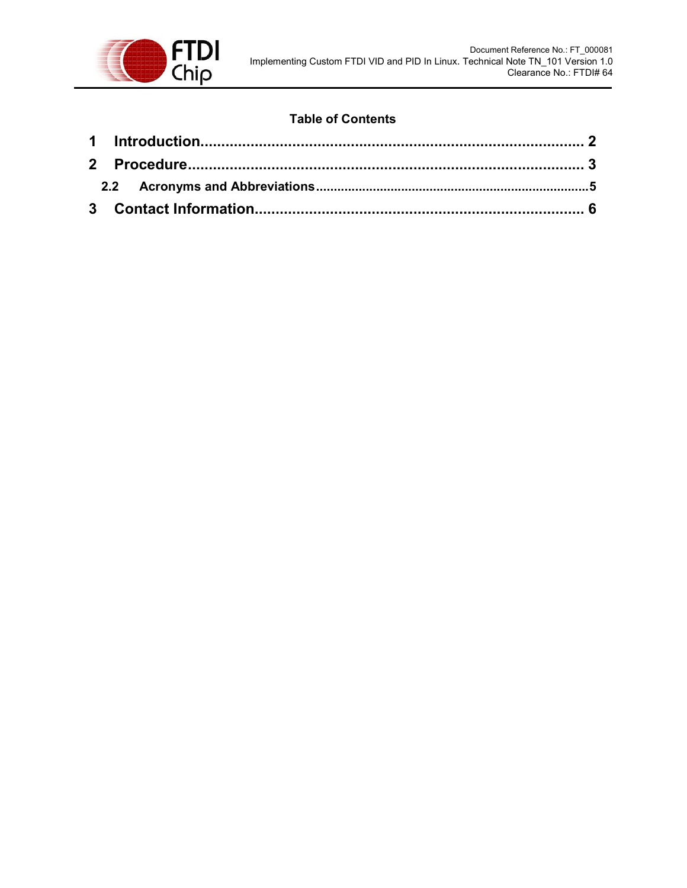

## **Table of Contents**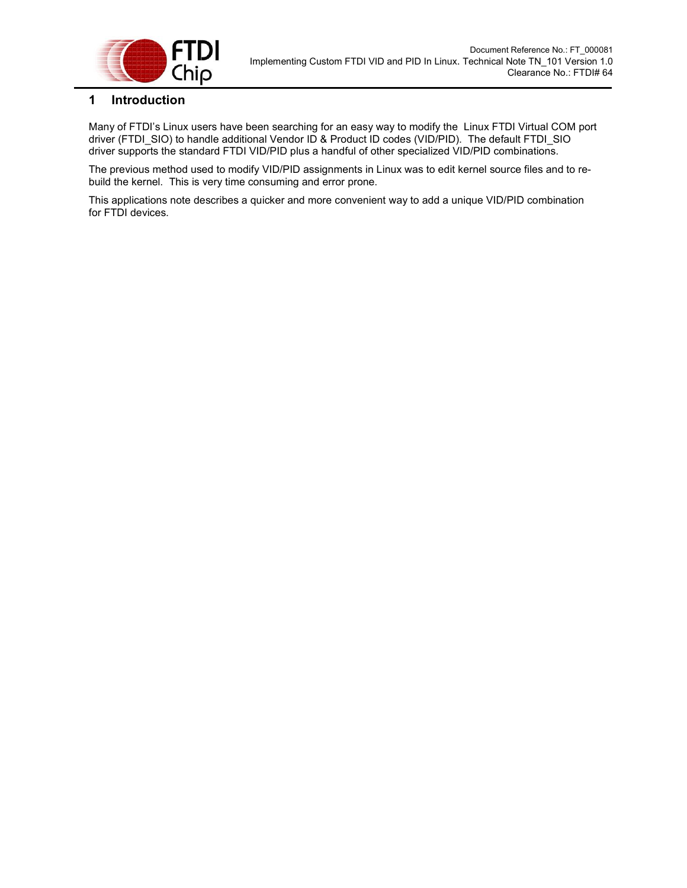

### **1 Introduction**

Many of FTDI's Linux users have been searching for an easy way to modify the Linux FTDI Virtual COM port driver (FTDI\_SIO) to handle additional Vendor ID & Product ID codes (VID/PID). The default FTDI\_SIO driver supports the standard FTDI VID/PID plus a handful of other specialized VID/PID combinations.

The previous method used to modify VID/PID assignments in Linux was to edit kernel source files and to rebuild the kernel. This is very time consuming and error prone.

This applications note describes a quicker and more convenient way to add a unique VID/PID combination for FTDI devices.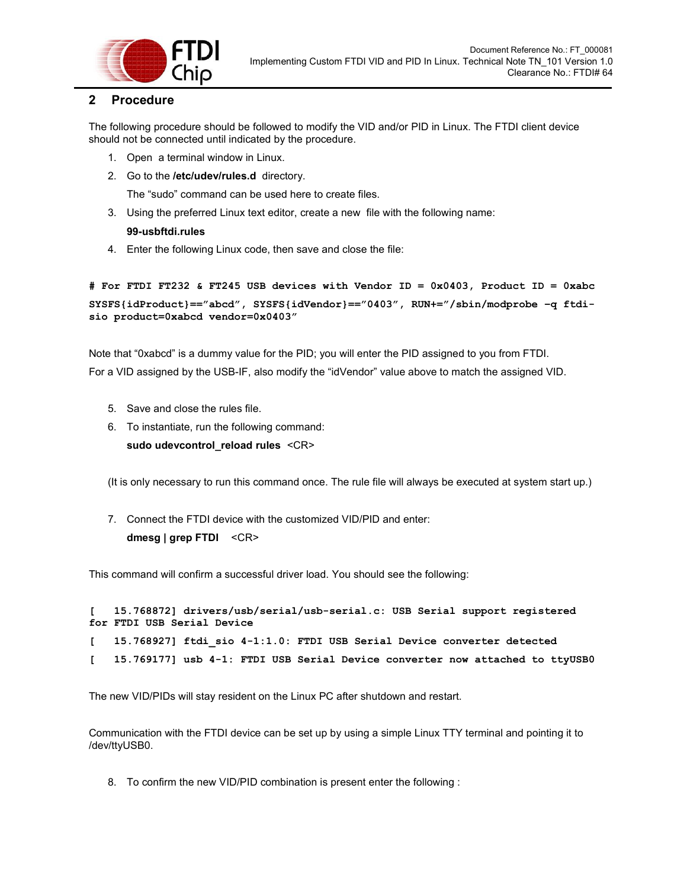

### **2 Procedure**

The following procedure should be followed to modify the VID and/or PID in Linux. The FTDI client device should not be connected until indicated by the procedure.

- 1. Open a terminal window in Linux.
- 2. Go to the **/etc/udev/rules.d** directory.

The "sudo" command can be used here to create files.

3. Using the preferred Linux text editor, create a new file with the following name:

### **99-usbftdi.rules**

4. Enter the following Linux code, then save and close the file:

```
# For FTDI FT232 & FT245 USB devices with Vendor ID = 0x0403, Product ID = 0xabc 
SYSFS{idProduct}=="abcd", SYSFS{idVendor}=="0403", RUN+="/sbin/modprobe –q ftdi-
sio product=0xabcd vendor=0x0403"
```
Note that "0xabcd" is a dummy value for the PID; you will enter the PID assigned to you from FTDI. For a VID assigned by the USB-IF, also modify the "idVendor" value above to match the assigned VID.

- 5. Save and close the rules file.
- 6. To instantiate, run the following command:

sudo udevcontrol\_reload rules <CR>

(It is only necessary to run this command once. The rule file will always be executed at system start up.)

7. Connect the FTDI device with the customized VID/PID and enter: **dmesg | grep FTDI** <CR>

This command will confirm a successful driver load. You should see the following:

```
[ 15.768872] drivers/usb/serial/usb-serial.c: USB Serial support registered 
for FTDI USB Serial Device 
[ 15.768927] ftdi_sio 4-1:1.0: FTDI USB Serial Device converter detected 
[ 15.769177] usb 4-1: FTDI USB Serial Device converter now attached to ttyUSB0
```
The new VID/PIDs will stay resident on the Linux PC after shutdown and restart.

Communication with the FTDI device can be set up by using a simple Linux TTY terminal and pointing it to /dev/ttyUSB0.

8. To confirm the new VID/PID combination is present enter the following :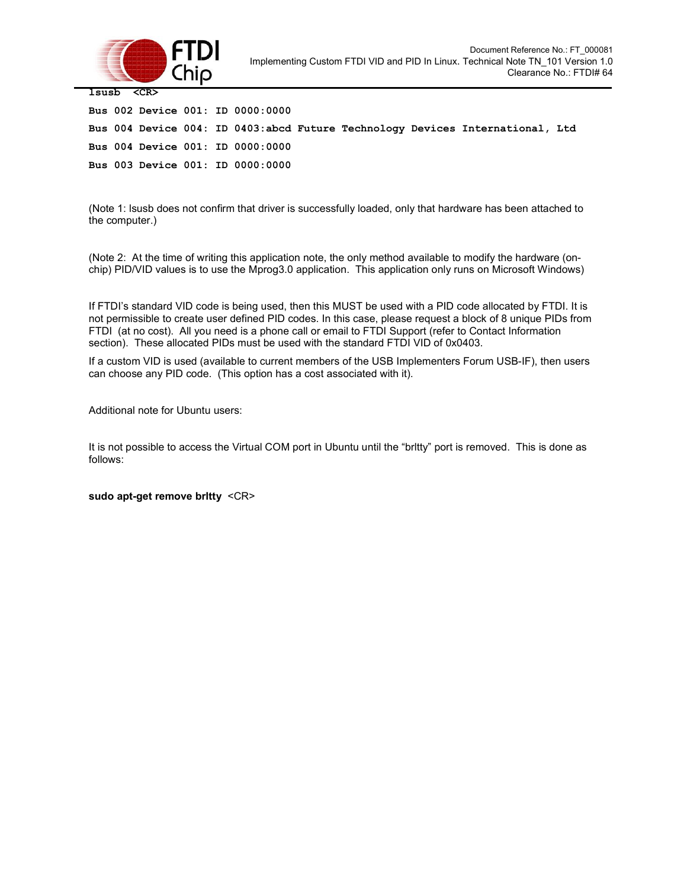

| lsusb <cr></cr> |  |  |  |  |                                  |  |  |                                                                               |  |
|-----------------|--|--|--|--|----------------------------------|--|--|-------------------------------------------------------------------------------|--|
|                 |  |  |  |  | Bus 002 Device 001: ID 0000:0000 |  |  |                                                                               |  |
|                 |  |  |  |  |                                  |  |  | Bus 004 Device 004: ID 0403:abcd Future Technology Devices International, Ltd |  |
|                 |  |  |  |  | Bus 004 Device 001: ID 0000:0000 |  |  |                                                                               |  |
|                 |  |  |  |  | Bus 003 Device 001: ID 0000:0000 |  |  |                                                                               |  |

(Note 1: lsusb does not confirm that driver is successfully loaded, only that hardware has been attached to the computer.)

(Note 2: At the time of writing this application note, the only method available to modify the hardware (onchip) PID/VID values is to use the Mprog3.0 application. This application only runs on Microsoft Windows)

If FTDI's standard VID code is being used, then this MUST be used with a PID code allocated by FTDI. It is not permissible to create user defined PID codes. In this case, please request a block of 8 unique PIDs from FTDI (at no cost). All you need is a phone call or email to FTDI Support (refer to Contact Information section). These allocated PIDs must be used with the standard FTDI VID of 0x0403.

If a custom VID is used (available to current members of the USB Implementers Forum USB-IF), then users can choose any PID code. (This option has a cost associated with it).

Additional note for Ubuntu users:

It is not possible to access the Virtual COM port in Ubuntu until the "brltty" port is removed. This is done as follows:

**sudo apt-get remove brltty** <CR>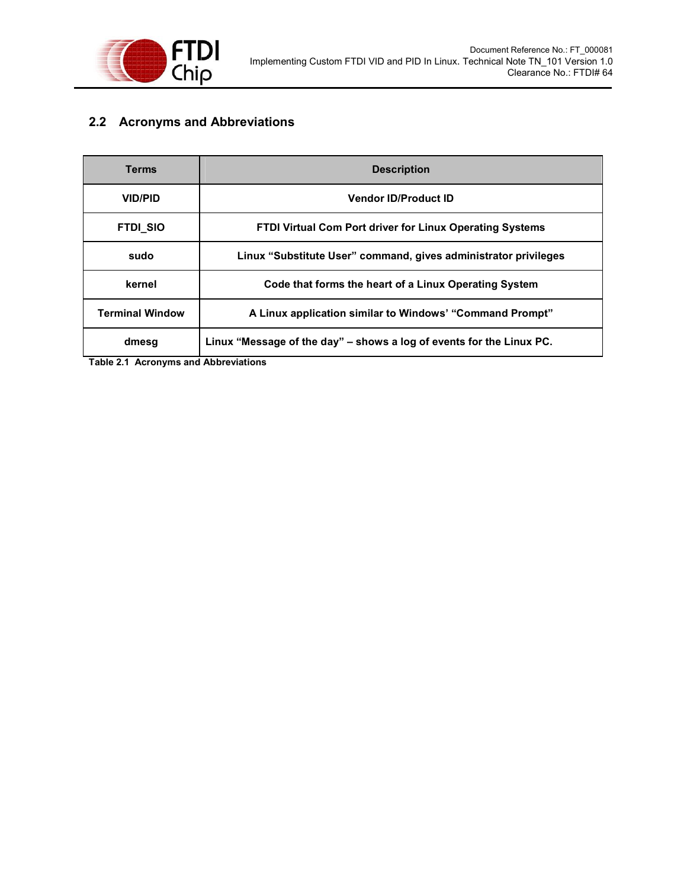

## **2.2 Acronyms and Abbreviations**

| Terms                  | <b>Description</b>                                                   |  |  |  |  |  |
|------------------------|----------------------------------------------------------------------|--|--|--|--|--|
| <b>VID/PID</b>         | <b>Vendor ID/Product ID</b>                                          |  |  |  |  |  |
| <b>FTDI_SIO</b>        | <b>FTDI Virtual Com Port driver for Linux Operating Systems</b>      |  |  |  |  |  |
| sudo                   | Linux "Substitute User" command, gives administrator privileges      |  |  |  |  |  |
| kernel                 | Code that forms the heart of a Linux Operating System                |  |  |  |  |  |
| <b>Terminal Window</b> | A Linux application similar to Windows' "Command Prompt"             |  |  |  |  |  |
| dmesg                  | Linux "Message of the day" – shows a log of events for the Linux PC. |  |  |  |  |  |

**Table 2.1 Acronyms and Abbreviations**